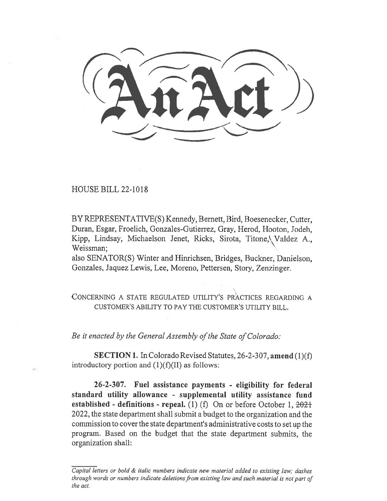HOUSE BILL 22-1018

BY REPRESENTATIVE(S) Kennedy, Bernett, Bird, Boesenecker, Cutter, Duran, Esgar, Froelich, Gonzales-Gutierrez, Gray, Herod, Hooton, Jodeh, Kipp, Lindsay, Michaelson Jenet, Ricks, Sirota, Titone, Valdez A., Weissman;

also SENATOR(S) Winter and Hinrichsen, Bridges, Buckner, Danielson, Gonzales, Jaquez Lewis, Lee, Moreno, Pettersen, Story, Zenzinger.

CONCERNING A STATE REGULATED UTILITY'S PRACTICES REGARDING A CUSTOMER'S ABILITY TO PAY THE CUSTOMER'S UTILITY BILL.

Be it enacted by the General Assembly of the State of Colorado:

SECTION 1. In Colorado Revised Statutes, 26-2-307, amend (1)(f) introductory portion and  $(1)(f)(II)$  as follows:

26-2-307. Fuel assistance payments - eligibility for federal standard utility allowance - supplemental utility assistance fund established - definitions - repeal. (1) (f) On or before October 1,  $2021$ 2022, the state department shall submit a budget to the organization and the commission to cover the state department's administrative costs to set up the program. Based on the budget that the state department submits, the organization shall:

Capital letters or bold & italic numbers indicate new material added to existing law; dashes through words or numbers indicate deletions from existing law and such material is not part of the act.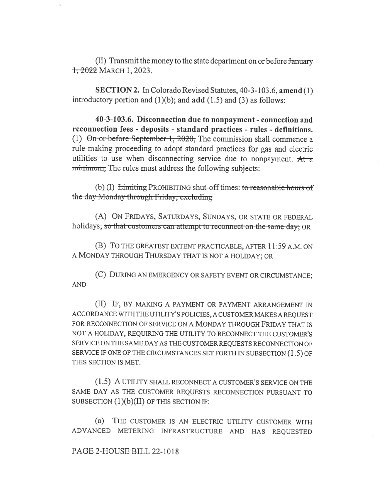(II) Transmit the money to the state department on or before January , 2022 MARCH 1, 2023.

SECTION 2. In Colorado Revised Statutes, 40-3-103.6, amend (1) introductory portion and  $(1)(b)$ ; and add  $(1.5)$  and  $(3)$  as follows:

40-3-103.6. Disconnection due to nonpayment - connection and reconnection fees - deposits - standard practices - rules - definitions. (1)  $\Theta$ n or before September 1, 2020, The commission shall commence a rule-making proceeding to adopt standard practices for gas and electric utilities to use when disconnecting service due to nonpayment.  $At a$ minimum, The rules must address the following subjects:

(b) (I) Limiting PROHIBITING shut-off times: to reasonable hours of the day Monday through Friday, excluding

(A) ON FRIDAYS, SATURDAYS, SUNDAYS, OR STATE OR FEDERAL holidays; so that customers can attempt to reconnect on the same-day; OR

(B) To THE GREATEST EXTENT PRACTICABLE, AFTER 11:59 A.M. ON A MONDAY THROUGH THURSDAY THAT IS NOT A HOLIDAY; OR

(C) DURING AN EMERGENCY OR SAFETY EVENT OR CIRCUMSTANCE; AND

(II) IF, BY MAKING A PAYMENT OR PAYMENT ARRANGEMENT IN ACCORDANCE WITH THE UTILITY'S POLICIES, A CUSTOMER MAKES A REQUEST FOR RECONNECTION OF SERVICE ON A MONDAY THROUGH FRIDAY THAT IS NOT A HOLIDAY, REQUIRING THE UTILITY TO RECONNECT THE CUSTOMER'S SERVICE ON THE SAME DAY AS THE CUSTOMER REQUESTS RECONNECTION OF SERVICE IF ONE OF THE CIRCUMSTANCES SET FORTH IN SUBSECTION (1.5) OF THIS SECTION IS MET.

(1.5) A UTILITY SHALL RECONNECT A CUSTOMER'S SERVICE ON THE SAME DAY AS THE CUSTOMER REQUESTS RECONNECTION PURSUANT TO SUBSECTION  $(1)(b)(II)$  OF THIS SECTION IF:

(a) THE CUSTOMER IS AN ELECTRIC UTILITY CUSTOMER WITH ADVANCED METERING INFRASTRUCTURE AND HAS REQUESTED

## PAGE 2-HOUSE BILL 22-1018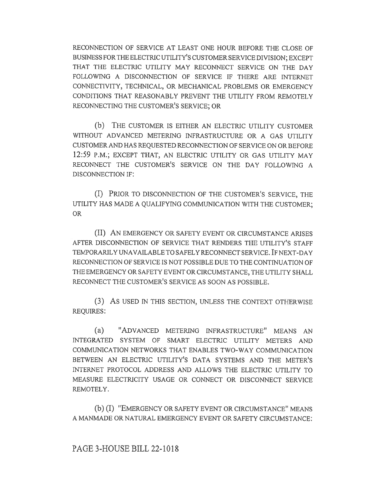RECONNECTION OF SERVICE AT LEAST ONE HOUR BEFORE THE CLOSE OF BUSINESS FOR THE ELECTRIC UTILITY'S CUSTOMER SERVICE DIVISION; EXCEPT THAT THE ELECTRIC UTILITY MAY RECONNECT SERVICE ON THE DAY FOLLOWING A DISCONNECTION OF SERVICE IF THERE ARE INTERNET CONNECTIVITY, TECHNICAL, OR MECHANICAL PROBLEMS OR EMERGENCY CONDITIONS THAT REASONABLY PREVENT THE UTILITY FROM REMOTELY RECONNECTING THE CUSTOMER'S SERVICE; OR

(b) THE CUSTOMER IS EITHER AN ELECTRIC UTILITY CUSTOMER WITHOUT ADVANCED METERING INFRASTRUCTURE OR A GAS UTILITY CUSTOMER AND HAS REQUESTED RECONNECTION OF SERVICE ON OR BEFORE 12:59 P.M.; EXCEPT THAT, AN ELECTRIC UTILITY OR GAS UTILITY MAY RECONNECT THE CUSTOMER'S SERVICE ON THE DAY FOLLOWING A DISCONNECTION IF:

(I) PRIOR TO DISCONNECTION OF THE CUSTOMER'S SERVICE, THE UTILITY HAS MADE A QUALIFYING COMMUNICATION WITH THE CUSTOMER; OR

(II) AN EMERGENCY OR SAFETY EVENT OR CIRCUMSTANCE ARISES AFTER DISCONNECTION OF SERVICE THAT RENDERS THE UTILITY'S STAFF TEMPORARILY UNAVAILABLE TO SAFELY RECONNECT SERVICE. IF NEXT-DAY RECONNECTION OF SERVICE IS NOT POSSIBLE DUE TO THE CONTINUATION OF THE EMERGENCY OR SAFETY EVENT OR CIRCUMSTANCE, THE UTILITY SHALL RECONNECT THE CUSTOMER'S SERVICE AS SOON AS POSSIBLE.

(3) AS USED IN THIS SECTION, UNLESS THE CONTEXT OTHERWISE REQUIRES:

(a) "ADVANCED METERING INFRASTRUCTURE" MEANS AN INTEGRATED SYSTEM OF SMART ELECTRIC UTILITY METERS AND COMMUNICATION NETWORKS THAT ENABLES TWO-WAY COMMUNICATION BETWEEN AN ELECTRIC UTILITY'S DATA SYSTEMS AND THE METER'S INTERNET PROTOCOL ADDRESS AND ALLOWS THE ELECTRIC UTILITY TO MEASURE ELECTRICITY USAGE OR CONNECT OR DISCONNECT SERVICE REMOTELY.

(b) (I) "EMERGENCY OR SAFETY EVENT OR CIRCUMSTANCE" MEANS A MANMADE OR NATURAL EMERGENCY EVENT OR SAFETY CIRCUMSTANCE: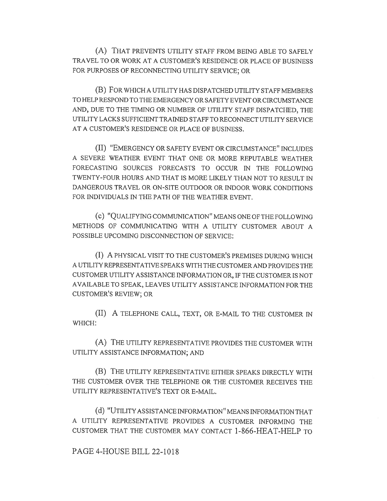(A) THAT PREVENTS UTILITY STAFF FROM BEING ABLE TO SAFELY TRAVEL TO OR WORK AT A CUSTOMER'S RESIDENCE OR PLACE OF BUSINESS FOR PURPOSES OF RECONNECTING UTILITY SERVICE; OR

(B) FOR WHICH A UTILITY HAS DISPATCHED UTILITY STAFF MEMBERS TO HELP RESPOND TO THE EMERGENCY OR SAFETY EVENT OR CIRCUMSTANCE AND, DUE TO THE TIMING OR NUMBER OF UTILITY STAFF DISPATCHED, THE UTILITY LACKS SUFFICIENT TRAINED STAFF TO RECONNECT UTILITY SERVICE AT A CUSTOMER'S RESIDENCE OR PLACE OF BUSINESS.

(II) "EMERGENCY OR SAFETY EVENT OR CIRCUMSTANCE" INCLUDES A SEVERE WEATHER EVENT THAT ONE OR MORE REPUTABLE WEATHER FORECASTING SOURCES FORECASTS TO OCCUR IN THE FOLLOWING TWENTY-FOUR HOURS AND THAT IS MORE LIKELY THAN NOT TO RESULT IN DANGEROUS TRAVEL OR ON-SITE OUTDOOR OR INDOOR WORK CONDITIONS FOR INDIVIDUALS IN THE PATH OF THE WEATHER EVENT.

(c) "QUALIFYING COMMUNICATION" MEANS ONE OF THE FOLLOWING METHODS OF COMMUNICATING WITH A UTILITY CUSTOMER ABOUT A POSSIBLE UPCOMING DISCONNECTION OF SERVICE:

(I) A PHYSICAL VISIT TO THE CUSTOMER'S PREMISES DURING WHICH A UTILITY REPRESENTATIVE SPEAKS WITH THE CUSTOMER AND PROVIDES THE CUSTOMER UTILITY ASSISTANCE INFORMATION OR, IF THE CUSTOMER IS NOT AVAILABLE TO SPEAK, LEAVES UTILITY ASSISTANCE INFORMATION FOR THE CUSTOMER'S REVIEW; OR

(II) A TELEPHONE CALL, TEXT, OR E-MAIL TO THE CUSTOMER IN WHICH:

(A) THE UTILITY REPRESENTATIVE PROVIDES THE CUSTOMER WITH UTILITY ASSISTANCE INFORMATION; AND

(B) THE UTILITY REPRESENTATIVE EITHER SPEAKS DIRECTLY WITH THE CUSTOMER OVER THE TELEPHONE OR THE CUSTOMER RECEIVES THE UTILITY REPRESENTATIVE'S TEXT OR E-MAIL.

(d) "UTILITY ASSISTANCE INFORMATION" MEANS INFORMATION THAT A UTILITY REPRESENTATIVE PROVIDES A CUSTOMER INFORMING THE CUSTOMER THAT THE CUSTOMER MAY CONTACT 1-866-HEAT-HELP TO

## PAGE 4-HOUSE BILL 22-1018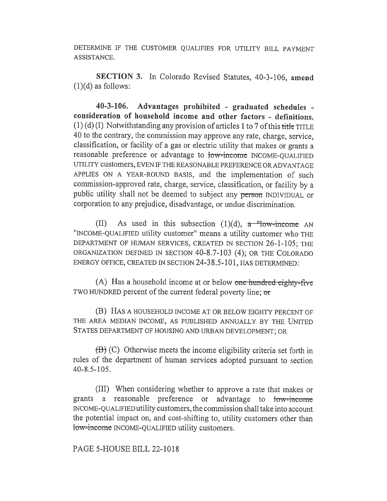DETERMINE IF THE CUSTOMER QUALIFIES FOR UTILITY BILL PAYMENT ASSISTANCE.

SECTION 3. In Colorado Revised Statutes, 40-3-106, amend  $(1)(d)$  as follows:

40-3-106. Advantages prohibited - graduated schedules consideration of household income and other factors - definitions.  $(1)$  (d) (I) Notwithstanding any provision of articles 1 to 7 of this title TITLE 40 to the contrary, the commission may approve any rate, charge, service, classification, or facility of a gas or electric utility that makes or grants a reasonable preference or advantage to low-income INCOME-QUALIFIED UTILITY customers, EVEN IF THE REASONABLE PREFERENCE OR ADVANTAGE APPLIES ON A YEAR-ROUND BASIS, and the implementation of such commission-approved rate, charge, service, classification, or facility by a public utility shall not be deemed to subject any person INDIVIDUAL or corporation to any prejudice, disadvantage, or undue discrimination.

(II) As used in this subsection (1)(d),  $a$  "low-income AN "INCOME-QUALIFIED utility customer" means a utility customer who THE DEPARTMENT OF HUMAN SERVICES, CREATED IN SECTION 26-1-105; THE ORGANIZATION DEFINED IN SECTION 40-8.7-103 (4); OR THE COLORADO ENERGY OFFICE, CREATED IN SECTION 24-38.5-101, HAS DETERMINED:

(A) Has a household income at or below one hundred eighty-five TWO HUNDRED percent of the current federal poverty line; or

(B) HAS A HOUSEHOLD INCOME AT OR BELOW EIGHTY PERCENT OF THE AREA MEDIAN INCOME, AS PUBLISHED ANNUALLY BY THE UNITED STATES DEPARTMENT OF HOUSING AND URBAN DEVELOPMENT; OR

 $(\overline{B})$  (C) Otherwise meets the income eligibility criteria set forth in rules of the department of human services adopted pursuant to section 40-8.5-105.

(III) When considering whether to approve a rate that makes or grants a reasonable preference or advantage to low-income INCOME-QUALIFIED utility customers, the commission shall take into account the potential impact on, and cost-shifting to, utility customers other than low-income INCOME-QUALIFIED utility customers.

PAGE 5-HOUSE BILL 22-1018